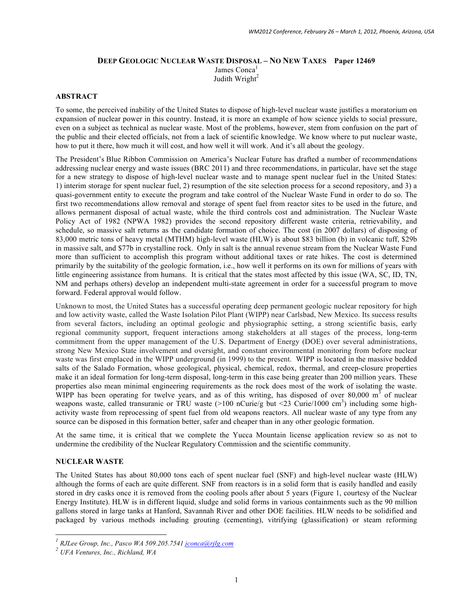# **DEEP GEOLOGIC NUCLEAR WASTE DISPOSAL – NO NEW TAXES Paper 12469** James Conca $<sup>1</sup>$ </sup> Judith Wright $2$

#### **ABSTRACT**

To some, the perceived inability of the United States to dispose of high-level nuclear waste justifies a moratorium on expansion of nuclear power in this country. Instead, it is more an example of how science yields to social pressure, even on a subject as technical as nuclear waste. Most of the problems, however, stem from confusion on the part of the public and their elected officials, not from a lack of scientific knowledge. We know where to put nuclear waste, how to put it there, how much it will cost, and how well it will work. And it's all about the geology.

The President's Blue Ribbon Commission on America's Nuclear Future has drafted a number of recommendations addressing nuclear energy and waste issues (BRC 2011) and three recommendations, in particular, have set the stage for a new strategy to dispose of high-level nuclear waste and to manage spent nuclear fuel in the United States: 1) interim storage for spent nuclear fuel, 2) resumption of the site selection process for a second repository, and 3) a quasi-government entity to execute the program and take control of the Nuclear Waste Fund in order to do so. The first two recommendations allow removal and storage of spent fuel from reactor sites to be used in the future, and allows permanent disposal of actual waste, while the third controls cost and administration. The Nuclear Waste Policy Act of 1982 (NPWA 1982) provides the second repository different waste criteria, retrievability, and schedule, so massive salt returns as the candidate formation of choice. The cost (in 2007 dollars) of disposing of 83,000 metric tons of heavy metal (MTHM) high-level waste (HLW) is about \$83 billion (b) in volcanic tuff, \$29b in massive salt, and \$77b in crystalline rock. Only in salt is the annual revenue stream from the Nuclear Waste Fund more than sufficient to accomplish this program without additional taxes or rate hikes. The cost is determined primarily by the suitability of the geologic formation, i.e., how well it performs on its own for millions of years with little engineering assistance from humans. It is critical that the states most affected by this issue (WA, SC, ID, TN, NM and perhaps others) develop an independent multi-state agreement in order for a successful program to move forward. Federal approval would follow.

Unknown to most, the United States has a successful operating deep permanent geologic nuclear repository for high and low activity waste, called the Waste Isolation Pilot Plant (WIPP) near Carlsbad, New Mexico. Its success results from several factors, including an optimal geologic and physiographic setting, a strong scientific basis, early regional community support, frequent interactions among stakeholders at all stages of the process, long-term commitment from the upper management of the U.S. Department of Energy (DOE) over several administrations, strong New Mexico State involvement and oversight, and constant environmental monitoring from before nuclear waste was first emplaced in the WIPP underground (in 1999) to the present. WIPP is located in the massive bedded salts of the Salado Formation, whose geological, physical, chemical, redox, thermal, and creep-closure properties make it an ideal formation for long-term disposal, long-term in this case being greater than 200 million years. These properties also mean minimal engineering requirements as the rock does most of the work of isolating the waste. WIPP has been operating for twelve years, and as of this writing, has disposed of over  $80,000 \text{ m}^3$  of nuclear weapons waste, called transuranic or TRU waste (>100 nCurie/g but <23 Curie/1000 cm<sup>3</sup>) including some highactivity waste from reprocessing of spent fuel from old weapons reactors. All nuclear waste of any type from any source can be disposed in this formation better, safer and cheaper than in any other geologic formation.

At the same time, it is critical that we complete the Yucca Mountain license application review so as not to undermine the credibility of the Nuclear Regulatory Commission and the scientific community.

### **NUCLEAR WASTE**

The United States has about 80,000 tons each of spent nuclear fuel (SNF) and high-level nuclear waste (HLW) although the forms of each are quite different. SNF from reactors is in a solid form that is easily handled and easily stored in dry casks once it is removed from the cooling pools after about 5 years (Figure 1, courtesy of the Nuclear Energy Institute). HLW is in different liquid, sludge and solid forms in various containments such as the 90 million gallons stored in large tanks at Hanford, Savannah River and other DOE facilities. HLW needs to be solidified and packaged by various methods including grouting (cementing), vitrifying (glassification) or steam reforming

*<sup>1</sup> RJLee Group, Inc., Pasco WA 509.205.7541 jconca@rjlg.com*

*<sup>2</sup> UFA Ventures, Inc., Richland, WA*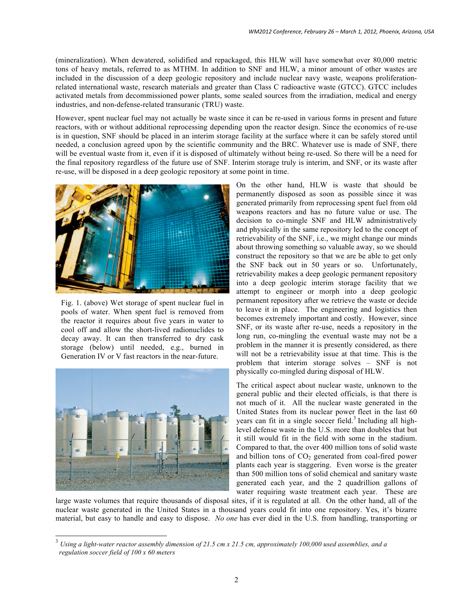(mineralization). When dewatered, solidified and repackaged, this HLW will have somewhat over 80,000 metric tons of heavy metals, referred to as MTHM. In addition to SNF and HLW, a minor amount of other wastes are included in the discussion of a deep geologic repository and include nuclear navy waste, weapons proliferationrelated international waste, research materials and greater than Class C radioactive waste (GTCC). GTCC includes activated metals from decommissioned power plants, some sealed sources from the irradiation, medical and energy industries, and non-defense-related transuranic (TRU) waste.

However, spent nuclear fuel may not actually be waste since it can be re-used in various forms in present and future reactors, with or without additional reprocessing depending upon the reactor design. Since the economics of re-use is in question, SNF should be placed in an interim storage facility at the surface where it can be safely stored until needed, a conclusion agreed upon by the scientific community and the BRC. Whatever use is made of SNF, there will be eventual waste from it, even if it is disposed of ultimately without being re-used. So there will be a need for the final repository regardless of the future use of SNF. Interim storage truly is interim, and SNF, or its waste after re-use, will be disposed in a deep geologic repository at some point in time.



Fig. 1. (above) Wet storage of spent nuclear fuel in pools of water. When spent fuel is removed from the reactor it requires about five years in water to cool off and allow the short-lived radionuclides to decay away. It can then transferred to dry cask storage (below) until needed, e.g., burned in Generation IV or V fast reactors in the near-future.



On the other hand, HLW is waste that should be permanently disposed as soon as possible since it was generated primarily from reprocessing spent fuel from old weapons reactors and has no future value or use. The decision to co-mingle SNF and HLW administratively and physically in the same repository led to the concept of retrievability of the SNF, i.e., we might change our minds about throwing something so valuable away, so we should construct the repository so that we are be able to get only the SNF back out in 50 years or so. Unfortunately, retrievability makes a deep geologic permanent repository into a deep geologic interim storage facility that we attempt to engineer or morph into a deep geologic permanent repository after we retrieve the waste or decide to leave it in place. The engineering and logistics then becomes extremely important and costly. However, since SNF, or its waste after re-use, needs a repository in the long run, co-mingling the eventual waste may not be a problem in the manner it is presently considered, as there will not be a retrievability issue at that time. This is the problem that interim storage solves – SNF is not physically co-mingled during disposal of HLW.

The critical aspect about nuclear waste, unknown to the general public and their elected officials, is that there is not much of it. All the nuclear waste generated in the United States from its nuclear power fleet in the last 60 years can fit in a single soccer field.<sup>3</sup> Including all highlevel defense waste in the U.S. more than doubles that but it still would fit in the field with some in the stadium. Compared to that, the over 400 million tons of solid waste and billion tons of  $CO<sub>2</sub>$  generated from coal-fired power plants each year is staggering. Even worse is the greater than 500 million tons of solid chemical and sanitary waste generated each year, and the 2 quadrillion gallons of water requiring waste treatment each year. These are

large waste volumes that require thousands of disposal sites, if it is regulated at all. On the other hand, all of the nuclear waste generated in the United States in a thousand years could fit into one repository. Yes, it's bizarre material, but easy to handle and easy to dispose. *No one* has ever died in the U.S. from handling, transporting or

 <sup>3</sup> *Using a light-water reactor assembly dimension of 21.5 cm x 21.5 cm, approximately 100,000 used assemblies, and a regulation soccer field of 100 x 60 meters*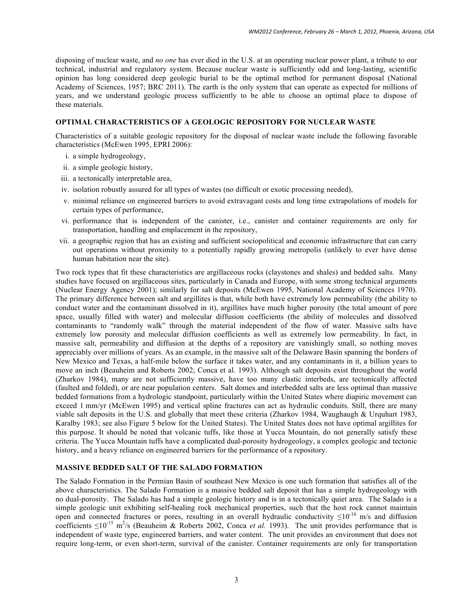disposing of nuclear waste, and *no one* has ever died in the U.S. at an operating nuclear power plant, a tribute to our technical, industrial and regulatory system. Because nuclear waste is sufficiently odd and long-lasting, scientific opinion has long considered deep geologic burial to be the optimal method for permanent disposal (National Academy of Sciences, 1957; BRC 2011). The earth is the only system that can operate as expected for millions of years, and we understand geologic process sufficiently to be able to choose an optimal place to dispose of these materials.

### **OPTIMAL CHARACTERISTICS OF A GEOLOGIC REPOSITORY FOR NUCLEAR WASTE**

Characteristics of a suitable geologic repository for the disposal of nuclear waste include the following favorable characteristics (McEwen 1995, EPRI 2006):

- i. a simple hydrogeology,
- ii. a simple geologic history,
- iii. a tectonically interpretable area,
- iv. isolation robustly assured for all types of wastes (no difficult or exotic processing needed),
- v. minimal reliance on engineered barriers to avoid extravagant costs and long time extrapolations of models for certain types of performance,
- vi. performance that is independent of the canister, i.e., canister and container requirements are only for transportation, handling and emplacement in the repository,
- vii. a geographic region that has an existing and sufficient sociopolitical and economic infrastructure that can carry out operations without proximity to a potentially rapidly growing metropolis (unlikely to ever have dense human habitation near the site).

Two rock types that fit these characteristics are argillaceous rocks (claystones and shales) and bedded salts. Many studies have focused on argillaceous sites, particularly in Canada and Europe, with some strong technical arguments (Nuclear Energy Agency 2001); similarly for salt deposits (McEwen 1995, National Academy of Sciences 1970). The primary difference between salt and argillites is that, while both have extremely low permeability (the ability to conduct water and the contaminant dissolved in it), argillites have much higher porosity (the total amount of pore space, usually filled with water) and molecular diffusion coefficients (the ability of molecules and dissolved contaminants to "randomly walk" through the material independent of the flow of water. Massive salts have extremely low porosity and molecular diffusion coefficients as well as extremely low permeability. In fact, in massive salt, permeability and diffusion at the depths of a repository are vanishingly small, so nothing moves appreciably over millions of years. As an example, in the massive salt of the Delaware Basin spanning the borders of New Mexico and Texas, a half-mile below the surface it takes water, and any contaminants in it, a billion years to move an inch (Beauheim and Roberts 2002; Conca et al. 1993). Although salt deposits exist throughout the world (Zharkov 1984), many are not sufficiently massive, have too many clastic interbeds, are tectonically affected (faulted and folded), or are near population centers. Salt domes and interbedded salts are less optimal than massive bedded formations from a hydrologic standpoint, particularly within the United States where diapiric movement can exceed 1 mm/yr (McEwen 1995) and vertical spline fractures can act as hydraulic conduits. Still, there are many viable salt deposits in the U.S. and globally that meet these criteria (Zharkov 1984, Waughaugh & Urquhart 1983, Karalby 1983; see also Figure 5 below for the United States). The United States does not have optimal argillites for this purpose. It should be noted that volcanic tuffs, like those at Yucca Mountain, do not generally satisfy these criteria. The Yucca Mountain tuffs have a complicated dual-porosity hydrogeology, a complex geologic and tectonic history, and a heavy reliance on engineered barriers for the performance of a repository.

## **MASSIVE BEDDED SALT OF THE SALADO FORMATION**

The Salado Formation in the Permian Basin of southeast New Mexico is one such formation that satisfies all of the above characteristics. The Salado Formation is a massive bedded salt deposit that has a simple hydrogeology with no dual-porosity. The Salado has had a simple geologic history and is in a tectonically quiet area. The Salado is a simple geologic unit exhibiting self-healing rock mechanical properties, such that the host rock cannot maintain open and connected fractures or pores, resulting in an overall hydraulic conductivity  $\leq 10^{-14}$  m/s and diffusion coefficients  $\leq 10^{-15}$  m<sup>2</sup>/s (Beauheim & Roberts 2002, Conca *et al.* 1993). The unit provides performance that is independent of waste type, engineered barriers, and water content. The unit provides an environment that does not require long-term, or even short-term, survival of the canister. Container requirements are only for transportation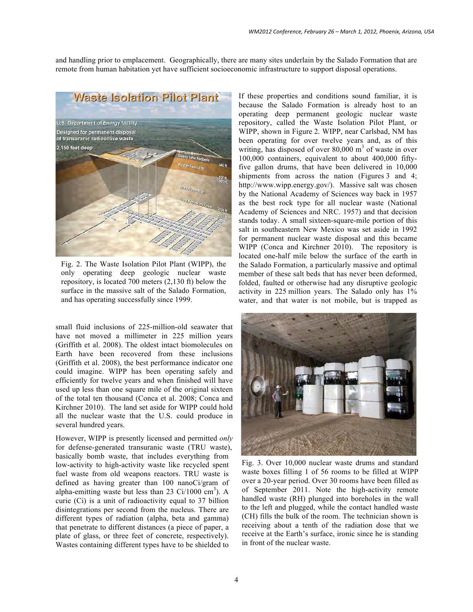and handling prior to emplacement. Geographically, there are many sites underlain by the Salado Formation that are remote from human habitation yet have sufficient socioeconomic infrastructure to support disposal operations.



Fig. 2. The Waste Isolation Pilot Plant (WIPP), the only operating deep geologic nuclear waste repository, is located 700 meters (2,130 ft) below the surface in the massive salt of the Salado Formation, and has operating successfully since 1999.

small fluid inclusions of 225-million-old seawater that have not moved a millimeter in 225 million years (Griffith et al. 2008). The oldest intact biomolecules on Earth have been recovered from these inclusions (Griffith et al. 2008), the best performance indicator one could imagine. WIPP has been operating safely and efficiently for twelve years and when finished will have used up less than one square mile of the original sixteen of the total ten thousand (Conca et al. 2008; Conca and Kirchner 2010). The land set aside for WIPP could hold all the nuclear waste that the U.S. could produce in several hundred years.

However, WIPP is presently licensed and permitted *only* for defense-generated transuranic waste (TRU waste), basically bomb waste, that includes everything from low-activity to high-activity waste like recycled spent fuel waste from old weapons reactors. TRU waste is defined as having greater than 100 nanoCi/gram of alpha-emitting waste but less than 23  $Ci/1000 \text{ cm}^3$ ). A curie (Ci) is a unit of radioactivity equal to 37 billion disintegrations per second from the nucleus. There are different types of radiation (alpha, beta and gamma) that penetrate to different distances (a piece of paper, a plate of glass, or three feet of concrete, respectively). Wastes containing different types have to be shielded to

If these properties and conditions sound familiar, it is because the Salado Formation is already host to an operating deep permanent geologic nuclear waste repository, called the Waste Isolation Pilot Plant, or WIPP, shown in Figure 2. WIPP, near Carlsbad, NM has been operating for over twelve years and, as of this writing, has disposed of over  $80,000 \text{ m}^3$  of waste in over 100,000 containers, equivalent to about 400,000 fiftyfive gallon drums, that have been delivered in 10,000 shipments from across the nation (Figures 3 and 4; http://www.wipp.energy.gov/). Massive salt was chosen by the National Academy of Sciences way back in 1957 as the best rock type for all nuclear waste (National Academy of Sciences and NRC. 1957) and that decision stands today. A small sixteen-square-mile portion of this salt in southeastern New Mexico was set aside in 1992 for permanent nuclear waste disposal and this became WIPP (Conca and Kirchner 2010). The repository is located one-half mile below the surface of the earth in the Salado Formation, a particularly massive and optimal member of these salt beds that has never been deformed, folded, faulted or otherwise had any disruptive geologic activity in 225 million years. The Salado only has 1% water, and that water is not mobile, but is trapped as



Fig. 3. Over 10,000 nuclear waste drums and standard waste boxes filling 1 of 56 rooms to be filled at WIPP over a 20-year period. Over 30 rooms have been filled as of September 2011. Note the high-activity remote handled waste (RH) plunged into boreholes in the wall to the left and plugged, while the contact handled waste (CH) fills the bulk of the room. The technician shown is receiving about a tenth of the radiation dose that we receive at the Earth's surface, ironic since he is standing in front of the nuclear waste.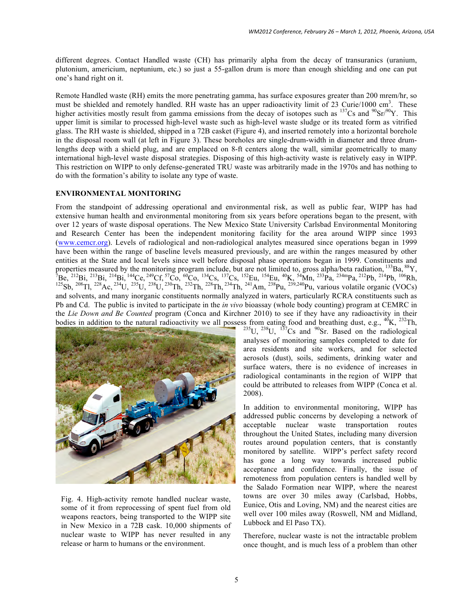different degrees. Contact Handled waste (CH) has primarily alpha from the decay of transuranics (uranium, plutonium, americium, neptunium, etc.) so just a 55-gallon drum is more than enough shielding and one can put one's hand right on it.

Remote Handled waste (RH) emits the more penetrating gamma, has surface exposures greater than 200 mrem/hr, so must be shielded and remotely handled. RH waste has an upper radioactivity limit of 23 Curie/1000 cm<sup>3</sup>. These higher activities mostly result from gamma emissions from the decay of isotopes such as  $^{137}Cs$  and  $^{90}Sr^{90}Y$ . This upper limit is similar to processed high-level waste such as high-level waste sludge or its treated form as vitrified glass. The RH waste is shielded, shipped in a 72B casket (Figure 4), and inserted remotely into a horizontal borehole in the disposal room wall (at left in Figure 3). These boreholes are single-drum-width in diameter and three drumlengths deep with a shield plug, and are emplaced on 8-ft centers along the wall, similar geometrically to many international high-level waste disposal strategies. Disposing of this high-activity waste is relatively easy in WIPP. This restriction on WIPP to only defense-generated TRU waste was arbitrarily made in the 1970s and has nothing to do with the formation's ability to isolate any type of waste.

## **ENVIRONMENTAL MONITORING**

From the standpoint of addressing operational and environmental risk, as well as public fear, WIPP has had extensive human health and environmental monitoring from six years before operations began to the present, with over 12 years of waste disposal operations. The New Mexico State University Carlsbad Environmental Monitoring and Research Center has been the independent monitoring facility for the area around WIPP since 1993 (www.cemcr.org). Levels of radiological and non-radiological analytes measured since operations began in 1999 have been within the range of baseline levels measured previously, and are within the ranges measured by other entities at the State and local levels since well before disposal phase operations began in 1999. Constituents and properties measured by the monitoring program include, but are not limited to, gross alpha/beta radiation, <sup>133</sup>Ba, <sup>88</sup>Y,  $\tau_{\rm DQ}$  (132 km)  $\tau_{\rm DQ}$  (132 km)  $\tau_{\rm DQ}$  (134 km)  $\tau_{\rm DQ}$  (134 km)  $\tau_{\rm DQ}$  (134 km 7Be, <sup>212</sup>Bi, <sup>213</sup>Bi, <sup>214</sup>Bi, <sup>144</sup>Ce, <sup>249</sup>Cf, <sup>57</sup>Co, <sup>60</sup>Co, <sup>134</sup>Cs, <sup>137</sup>Cs, <sup>152</sup>Eu, <sup>154</sup>Eu, <sup>40</sup>K, <sup>54</sup>Mn, <sup>233</sup>Pa, <sup>234m</sup>Pa, <sup>212</sup>Pb, <sup>214</sup>Pb, <sup>106</sup>Rh, <sup>125</sup>Sb, <sup>208</sup>Tl, <sup>228</sup>Ac, <sup>234</sup>U, <sup>235</sup>U, <sup>238</sup>U, <sup>239</sup>Th, and solvents, and many inorganic constituents normally analyzed in waters, particularly RCRA constituents such as Pb and Cd. The public is invited to participate in the *in vivo* bioassay (whole body counting) program at CEMRC in the *Lie Down and Be Counted* program (Conca and Kirchner 2010) to see if they have any radioactivity in their bodies in addition to the natural radioactivity we all possess from eating food and breathing dust, e.g., <sup>40</sup>K, <sup>232</sup>Th, <sup>236</sup>U, <sup>235</sup>U, <sup>235</sup>U, <sup>235</sup>U, <sup>235</sup>U, <sup>237</sup>Cs and <sup>90</sup>Sr. Based on the radiological



Fig. 4. High-activity remote handled nuclear waste, some of it from reprocessing of spent fuel from old weapons reactors, being transported to the WIPP site in New Mexico in a 72B cask. 10,000 shipments of nuclear waste to WIPP has never resulted in any release or harm to humans or the environment.

analyses of monitoring samples completed to date for area residents and site workers, and for selected aerosols (dust), soils, sediments, drinking water and surface waters, there is no evidence of increases in radiological contaminants in the region of WIPP that could be attributed to releases from WIPP (Conca et al. 2008).

In addition to environmental monitoring, WIPP has addressed public concerns by developing a network of acceptable nuclear waste transportation routes throughout the United States, including many diversion routes around population centers, that is constantly monitored by satellite. WIPP's perfect safety record has gone a long way towards increased public acceptance and confidence. Finally, the issue of remoteness from population centers is handled well by the Salado Formation near WIPP, where the nearest towns are over 30 miles away (Carlsbad, Hobbs, Eunice, Otis and Loving, NM) and the nearest cities are well over 100 miles away (Roswell, NM and Midland, Lubbock and El Paso TX).

Therefore, nuclear waste is not the intractable problem once thought, and is much less of a problem than other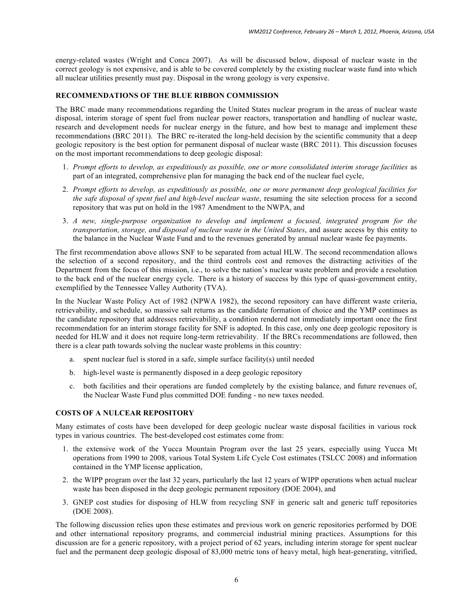energy-related wastes (Wright and Conca 2007). As will be discussed below, disposal of nuclear waste in the correct geology is not expensive, and is able to be covered completely by the existing nuclear waste fund into which all nuclear utilities presently must pay. Disposal in the wrong geology is very expensive.

## **RECOMMENDATIONS OF THE BLUE RIBBON COMMISSION**

The BRC made many recommendations regarding the United States nuclear program in the areas of nuclear waste disposal, interim storage of spent fuel from nuclear power reactors, transportation and handling of nuclear waste, research and development needs for nuclear energy in the future, and how best to manage and implement these recommendations (BRC 2011). The BRC re-iterated the long-held decision by the scientific community that a deep geologic repository is the best option for permanent disposal of nuclear waste (BRC 2011). This discussion focuses on the most important recommendations to deep geologic disposal:

- 1. *Prompt efforts to develop, as expeditiously as possible, one or more consolidated interim storage facilities* as part of an integrated, comprehensive plan for managing the back end of the nuclear fuel cycle,
- 2. *Prompt efforts to develop, as expeditiously as possible, one or more permanent deep geological facilities for the safe disposal of spent fuel and high-level nuclear waste*, resuming the site selection process for a second repository that was put on hold in the 1987 Amendment to the NWPA, and
- 3. *A new, single-purpose organization to develop and implement a focused, integrated program for the transportation, storage, and disposal of nuclear waste in the United States*, and assure access by this entity to the balance in the Nuclear Waste Fund and to the revenues generated by annual nuclear waste fee payments.

The first recommendation above allows SNF to be separated from actual HLW. The second recommendation allows the selection of a second repository, and the third controls cost and removes the distracting activities of the Department from the focus of this mission, i.e., to solve the nation's nuclear waste problem and provide a resolution to the back end of the nuclear energy cycle. There is a history of success by this type of quasi-government entity, exemplified by the Tennessee Valley Authority (TVA).

In the Nuclear Waste Policy Act of 1982 (NPWA 1982), the second repository can have different waste criteria, retrievability, and schedule, so massive salt returns as the candidate formation of choice and the YMP continues as the candidate repository that addresses retrievability, a condition rendered not immediately important once the first recommendation for an interim storage facility for SNF is adopted. In this case, only one deep geologic repository is needed for HLW and it does not require long-term retrievability. If the BRCs recommendations are followed, then there is a clear path towards solving the nuclear waste problems in this country:

- a. spent nuclear fuel is stored in a safe, simple surface facility(s) until needed
- b. high-level waste is permanently disposed in a deep geologic repository
- c. both facilities and their operations are funded completely by the existing balance, and future revenues of, the Nuclear Waste Fund plus committed DOE funding - no new taxes needed.

### **COSTS OF A NULCEAR REPOSITORY**

Many estimates of costs have been developed for deep geologic nuclear waste disposal facilities in various rock types in various countries. The best-developed cost estimates come from:

- 1. the extensive work of the Yucca Mountain Program over the last 25 years, especially using Yucca Mt operations from 1990 to 2008, various Total System Life Cycle Cost estimates (TSLCC 2008) and information contained in the YMP license application,
- 2. the WIPP program over the last 32 years, particularly the last 12 years of WIPP operations when actual nuclear waste has been disposed in the deep geologic permanent repository (DOE 2004), and
- 3. GNEP cost studies for disposing of HLW from recycling SNF in generic salt and generic tuff repositories (DOE 2008).

The following discussion relies upon these estimates and previous work on generic repositories performed by DOE and other international repository programs, and commercial industrial mining practices. Assumptions for this discussion are for a generic repository, with a project period of 62 years, including interim storage for spent nuclear fuel and the permanent deep geologic disposal of 83,000 metric tons of heavy metal, high heat-generating, vitrified,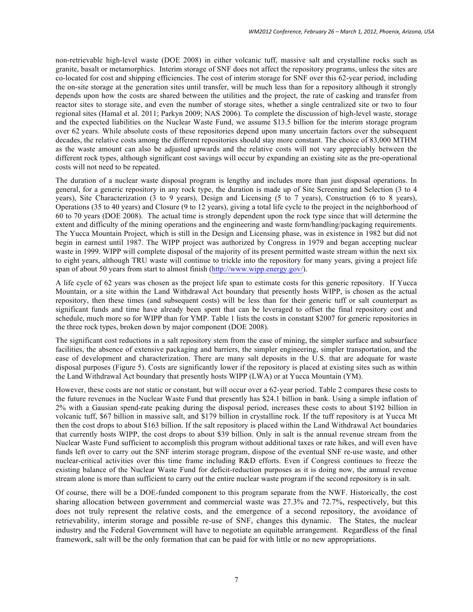non-retrievable high-level waste (DOE 2008) in either volcanic tuff, massive salt and crystalline rocks such as granite, basalt or metamorphics. Interim storage of SNF does not affect the repository programs, unless the sites are co-located for cost and shipping efficiencies. The cost of interim storage for SNF over this 62-year period, including the on-site storage at the generation sites until transfer, will be much less than for a repository although it strongly depends upon how the costs are shared between the utilities and the project, the rate of casking and transfer from reactor sites to storage site, and even the number of storage sites, whether a single centralized site or two to four regional sites (Hamal et al. 2011; Parkyn 2009; NAS 2006). To complete the discussion of high-level waste, storage and the expected liabilities on the Nuclear Waste Fund, we assume \$13.5 billion for the interim storage program over 62 years. While absolute costs of these repositories depend upon many uncertain factors over the subsequent decades, the relative costs among the different repositories should stay more constant. The choice of 83,000 MTHM as the waste amount can also be adjusted upwards and the relative costs will not vary appreciably between the different rock types, although significant cost savings will occur by expanding an existing site as the pre-operational costs will not need to be repeated.

The duration of a nuclear waste disposal program is lengthy and includes more than just disposal operations. In general, for a generic repository in any rock type, the duration is made up of Site Screening and Selection (3 to 4 years), Site Characterization (3 to 9 years), Design and Licensing (5 to 7 years), Construction (6 to 8 years), Operations (35 to 40 years) and Closure (9 to 12 years), giving a total life cycle to the project in the neighborhood of 60 to 70 years (DOE 2008). The actual time is strongly dependent upon the rock type since that will determine the extent and difficulty of the mining operations and the engineering and waste form/handling/packaging requirements. The Yucca Mountain Project, which is still in the Design and Licensing phase, was in existence in 1982 but did not begin in earnest until 1987. The WIPP project was authorized by Congress in 1979 and began accepting nuclear waste in 1999. WIPP will complete disposal of the majority of its present permitted waste stream within the next six to eight years, although TRU waste will continue to trickle into the repository for many years, giving a project life span of about 50 years from start to almost finish (http://www.wipp.energy.gov/).

A life cycle of 62 years was chosen as the project life span to estimate costs for this generic repository. If Yucca Mountain, or a site within the Land Withdrawal Act boundary that presently hosts WIPP, is chosen as the actual repository, then these times (and subsequent costs) will be less than for their generic tuff or salt counterpart as significant funds and time have already been spent that can be leveraged to offset the final repository cost and schedule, much more so for WIPP than for YMP. Table 1 lists the costs in constant \$2007 for generic repositories in the three rock types, broken down by major component (DOE 2008).

The significant cost reductions in a salt repository stem from the ease of mining, the simpler surface and subsurface facilities, the absence of extensive packaging and barriers, the simpler engineering, simpler transportation, and the ease of development and characterization. There are many salt deposits in the U.S. that are adequate for waste disposal purposes (Figure 5). Costs are significantly lower if the repository is placed at existing sites such as within the Land Withdrawal Act boundary that presently hosts WIPP (LWA) or at Yucca Mountain (YM).

However, these costs are not static or constant, but will occur over a 62-year period. Table 2 compares these costs to the future revenues in the Nuclear Waste Fund that presently has \$24.1 billion in bank. Using a simple inflation of 2% with a Gausian spend-rate peaking during the disposal period, increases these costs to about \$192 billion in volcanic tuff, \$67 billion in massive salt, and \$179 billion in crystalline rock. If the tuff repository is at Yucca Mt then the cost drops to about \$163 billion. If the salt repository is placed within the Land Withdrawal Act boundaries that currently hosts WIPP, the cost drops to about \$39 billion. Only in salt is the annual revenue stream from the Nuclear Waste Fund sufficient to accomplish this program without additional taxes or rate hikes, and will even have funds left over to carry out the SNF interim storage program, dispose of the eventual SNF re-use waste, and other nuclear-critical activities over this time frame including R&D efforts. Even if Congress continues to freeze the existing balance of the Nuclear Waste Fund for deficit-reduction purposes as it is doing now, the annual revenue stream alone is more than sufficient to carry out the entire nuclear waste program if the second repository is in salt.

Of course, there will be a DOE-funded component to this program separate from the NWF. Historically, the cost sharing allocation between government and commercial waste was 27.3% and 72.7%, respectively, but this does not truly represent the relative costs, and the emergence of a second repository, the avoidance of retrievability, interim storage and possible re-use of SNF, changes this dynamic. The States, the nuclear industry and the Federal Government will have to negotiate an equitable arrangement. Regardless of the final framework, salt will be the only formation that can be paid for with little or no new appropriations.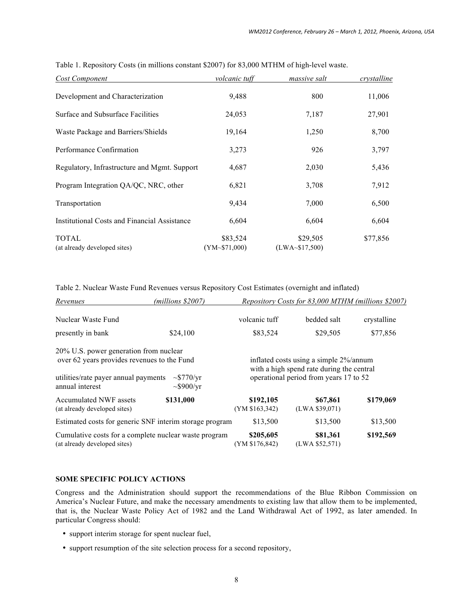| Cost Component                               | volcanic tuff            | massive salt               | crystalline |
|----------------------------------------------|--------------------------|----------------------------|-------------|
| Development and Characterization             | 9,488                    | 800                        | 11,006      |
| Surface and Subsurface Facilities            | 24,053                   | 7,187                      | 27,901      |
| Waste Package and Barriers/Shields           | 19,164                   | 1,250                      | 8,700       |
| Performance Confirmation                     | 3,273                    | 926                        | 3,797       |
| Regulatory, Infrastructure and Mgmt. Support | 4,687                    | 2,030                      | 5,436       |
| Program Integration QA/QC, NRC, other        | 6,821                    | 3,708                      | 7,912       |
| Transportation                               | 9,434                    | 7,000                      | 6,500       |
| Institutional Costs and Financial Assistance | 6,604                    | 6,604                      | 6,604       |
| <b>TOTAL</b><br>(at already developed sites) | \$83,524<br>(YM~571,000) | \$29,505<br>(LWA~\$17,500) | \$77,856    |

Table 1. Repository Costs (in millions constant \$2007) for 83,000 MTHM of high-level waste.

Table 2. Nuclear Waste Fund Revenues versus Repository Cost Estimates (overnight and inflated)

| Revenues                                                                              | $(millions$ \$2007)                | Repository Costs for 83,000 MTHM (millions \$2007)                                  |                            |             |
|---------------------------------------------------------------------------------------|------------------------------------|-------------------------------------------------------------------------------------|----------------------------|-------------|
| Nuclear Waste Fund                                                                    |                                    | volcanic tuff                                                                       | bedded salt                | crystalline |
| presently in bank                                                                     | \$24,100                           | \$83,524                                                                            | \$29,505                   | \$77,856    |
| 20% U.S. power generation from nuclear<br>over 62 years provides revenues to the Fund |                                    | inflated costs using a simple 2%/annum<br>with a high spend rate during the central |                            |             |
| utilities/rate payer annual payments<br>annual interest                               | $\sim$ \$770/yr<br>$\sim$ \$900/yr | operational period from years 17 to 52                                              |                            |             |
| <b>Accumulated NWF assets</b><br>(at already developed sites)                         | \$131,000                          | \$192,105<br>(YM \$163,342)                                                         | \$67,861<br>(LWA \$39,071) | \$179,069   |
| Estimated costs for generic SNF interim storage program                               |                                    | \$13,500                                                                            | \$13,500                   | \$13,500    |
| Cumulative costs for a complete nuclear waste program<br>(at already developed sites) |                                    | \$205,605<br>(YM \$176,842)                                                         | \$81,361<br>(LWA \$52,571) | \$192,569   |

### **SOME SPECIFIC POLICY ACTIONS**

Congress and the Administration should support the recommendations of the Blue Ribbon Commission on America's Nuclear Future, and make the necessary amendments to existing law that allow them to be implemented, that is, the Nuclear Waste Policy Act of 1982 and the Land Withdrawal Act of 1992, as later amended. In particular Congress should:

- support interim storage for spent nuclear fuel,
- support resumption of the site selection process for a second repository,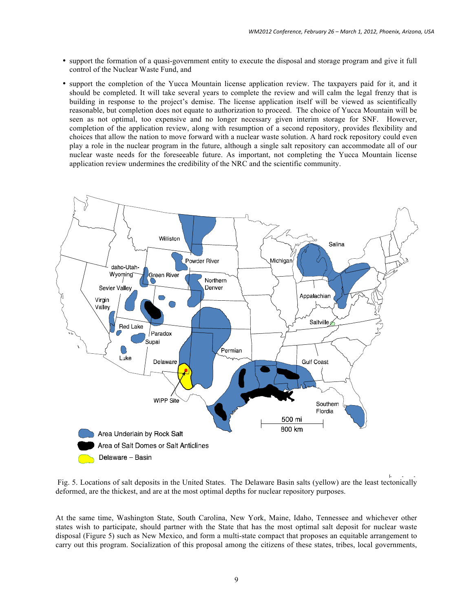- support the formation of a quasi-government entity to execute the disposal and storage program and give it full control of the Nuclear Waste Fund, and
- support the completion of the Yucca Mountain license application review. The taxpayers paid for it, and it should be completed. It will take several years to complete the review and will calm the legal frenzy that is building in response to the project's demise. The license application itself will be viewed as scientifically reasonable, but completion does not equate to authorization to proceed. The choice of Yucca Mountain will be seen as not optimal, too expensive and no longer necessary given interim storage for SNF. However, completion of the application review, along with resumption of a second repository, provides flexibility and choices that allow the nation to move forward with a nuclear waste solution. A hard rock repository could even play a role in the nuclear program in the future, although a single salt repository can accommodate all of our nuclear waste needs for the foreseeable future. As important, not completing the Yucca Mountain license application review undermines the credibility of the NRC and the scientific community.



Fig. 5. Locations of salt deposits in the United States. The Delaware Basin salts (yellow) are the least tectonically deformed, are the thickest, and are at the most optimal depths for nuclear repository purposes.

At the same time, Washington State, South Carolina, New York, Maine, Idaho, Tennessee and whichever other states wish to participate, should partner with the State that has the most optimal salt deposit for nuclear waste disposal (Figure 5) such as New Mexico, and form a multi-state compact that proposes an equitable arrangement to carry out this program. Socialization of this proposal among the citizens of these states, tribes, local governments,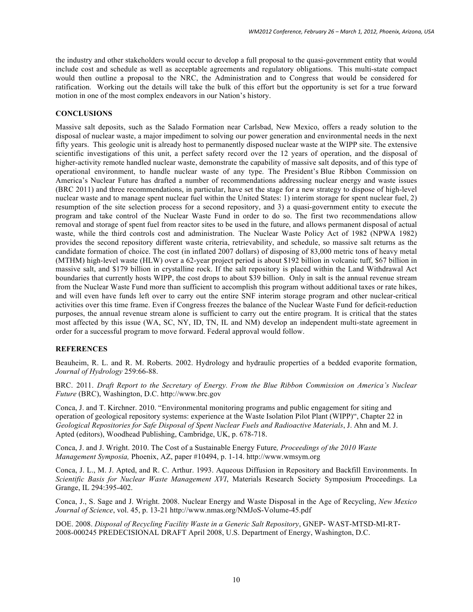the industry and other stakeholders would occur to develop a full proposal to the quasi-government entity that would include cost and schedule as well as acceptable agreements and regulatory obligations. This multi-state compact would then outline a proposal to the NRC, the Administration and to Congress that would be considered for ratification. Working out the details will take the bulk of this effort but the opportunity is set for a true forward motion in one of the most complex endeavors in our Nation's history.

### **CONCLUSIONS**

Massive salt deposits, such as the Salado Formation near Carlsbad, New Mexico, offers a ready solution to the disposal of nuclear waste, a major impediment to solving our power generation and environmental needs in the next fifty years. This geologic unit is already host to permanently disposed nuclear waste at the WIPP site. The extensive scientific investigations of this unit, a perfect safety record over the 12 years of operation, and the disposal of higher-activity remote handled nuclear waste, demonstrate the capability of massive salt deposits, and of this type of operational environment, to handle nuclear waste of any type. The President's Blue Ribbon Commission on America's Nuclear Future has drafted a number of recommendations addressing nuclear energy and waste issues (BRC 2011) and three recommendations, in particular, have set the stage for a new strategy to dispose of high-level nuclear waste and to manage spent nuclear fuel within the United States: 1) interim storage for spent nuclear fuel, 2) resumption of the site selection process for a second repository, and 3) a quasi-government entity to execute the program and take control of the Nuclear Waste Fund in order to do so. The first two recommendations allow removal and storage of spent fuel from reactor sites to be used in the future, and allows permanent disposal of actual waste, while the third controls cost and administration. The Nuclear Waste Policy Act of 1982 (NPWA 1982) provides the second repository different waste criteria, retrievability, and schedule, so massive salt returns as the candidate formation of choice. The cost (in inflated 2007 dollars) of disposing of 83,000 metric tons of heavy metal (MTHM) high-level waste (HLW) over a 62-year project period is about \$192 billion in volcanic tuff, \$67 billion in massive salt, and \$179 billion in crystalline rock. If the salt repository is placed within the Land Withdrawal Act boundaries that currently hosts WIPP, the cost drops to about \$39 billion. Only in salt is the annual revenue stream from the Nuclear Waste Fund more than sufficient to accomplish this program without additional taxes or rate hikes, and will even have funds left over to carry out the entire SNF interim storage program and other nuclear-critical activities over this time frame. Even if Congress freezes the balance of the Nuclear Waste Fund for deficit-reduction purposes, the annual revenue stream alone is sufficient to carry out the entire program. It is critical that the states most affected by this issue (WA, SC, NY, ID, TN, IL and NM) develop an independent multi-state agreement in order for a successful program to move forward. Federal approval would follow.

### **REFERENCES**

Beauheim, R. L. and R. M. Roberts. 2002. Hydrology and hydraulic properties of a bedded evaporite formation, *Journal of Hydrology* 259:66-88.

BRC. 2011. *Draft Report to the Secretary of Energy. From the Blue Ribbon Commission on America's Nuclear Future* (BRC), Washington, D.C. http://www.brc.gov

Conca, J. and T. Kirchner. 2010. "Environmental monitoring programs and public engagement for siting and operation of geological repository systems: experience at the Waste Isolation Pilot Plant (WIPP)", Chapter 22 in *Geological Repositories for Safe Disposal of Spent Nuclear Fuels and Radioactive Materials*, J. Ahn and M. J. Apted (editors), Woodhead Publishing, Cambridge, UK, p. 678-718.

Conca, J. and J. Wright. 2010. The Cost of a Sustainable Energy Future*, Proceedings of the 2010 Waste Management Symposia,* Phoenix, AZ, paper #10494, p. 1-14. http://www.wmsym.org

Conca, J. L., M. J. Apted, and R. C. Arthur. 1993. Aqueous Diffusion in Repository and Backfill Environments. In *Scientific Basis for Nuclear Waste Management XVI*, Materials Research Society Symposium Proceedings. La Grange, IL 294:395-402.

Conca, J., S. Sage and J. Wright. 2008. Nuclear Energy and Waste Disposal in the Age of Recycling, *New Mexico Journal of Science*, vol. 45, p. 13-21 http://www.nmas.org/NMJoS-Volume-45.pdf

DOE. 2008. *Disposal of Recycling Facility Waste in a Generic Salt Repository*, GNEP- WAST-MTSD-MI-RT-2008-000245 PREDECISIONAL DRAFT April 2008, U.S. Department of Energy, Washington, D.C.